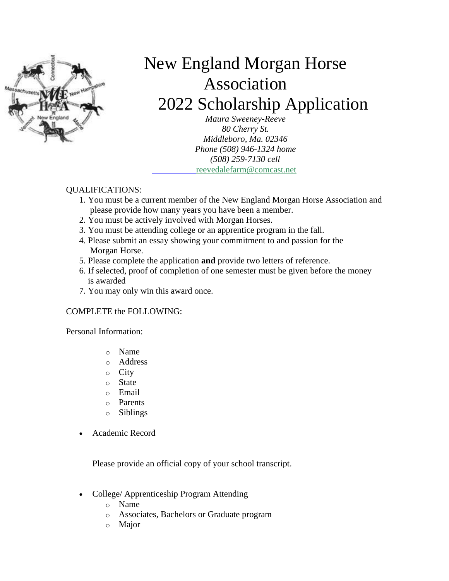

# New England Morgan Horse Association 2022 Scholarship Application

*Maura Sweeney-Reeve 80 Cherry St. Middleboro, Ma. 02346 Phone (508) 946-1324 home (508) 259-7130 cell* [reevedalefarm@comcast.net](mailto:reevedalefarm@comcast.net)

#### QUALIFICATIONS:

- 1. You must be a current member of the New England Morgan Horse Association and please provide how many years you have been a member.
- 2. You must be actively involved with Morgan Horses.
- 3. You must be attending college or an apprentice program in the fall.
- 4. Please submit an essay showing your commitment to and passion for the Morgan Horse.
- 5. Please complete the application **and** provide two letters of reference.
- 6. If selected, proof of completion of one semester must be given before the money is awarded
- 7. You may only win this award once.

#### COMPLETE the FOLLOWING:

Personal Information:

- o Name
- o Address
- o City
- o State
- o Email
- o Parents
- o Siblings
- Academic Record

Please provide an official copy of your school transcript.

- College/ Apprenticeship Program Attending
	- o Name
	- o Associates, Bachelors or Graduate program
	- o Major